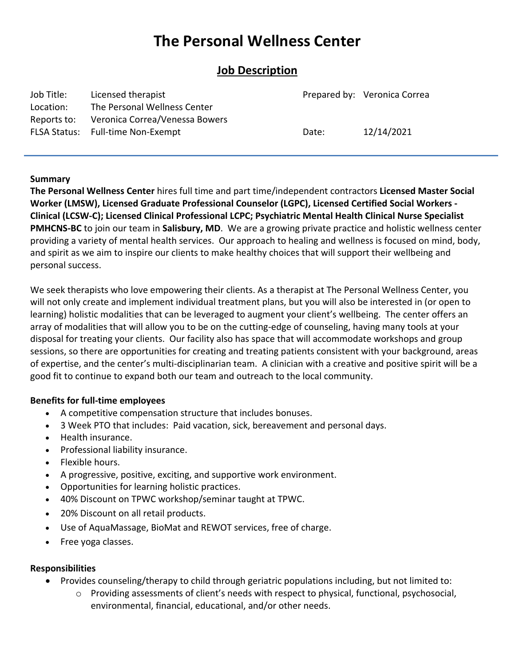# **The Personal Wellness Center**

## **Job Description**

| Job Title:  | Licensed therapist                |       | Prepared by: Veronica Correa |
|-------------|-----------------------------------|-------|------------------------------|
| Location:   | The Personal Wellness Center      |       |                              |
| Reports to: | Veronica Correa/Venessa Bowers    |       |                              |
|             | FLSA Status: Full-time Non-Exempt | Date: | 12/14/2021                   |
|             |                                   |       |                              |

## **Summary**

**[The Personal Wellness Center](http://www.thepersonalwellnesscenter.com/)** hires full time and part time/independent contractors **Licensed Master Social Worker (LMSW), Licensed Graduate Professional Counselor (LGPC), Licensed Certified Social Workers - Clinical (LCSW-C); Licensed Clinical Professional LCPC; Psychiatric Mental Health Clinical Nurse Specialist PMHCNS-BC** to join our team in **Salisbury, MD**. We are a growing private practice and holistic wellness center providing a variety of mental health services. Our approach to healing and wellness is focused on mind, body, and spirit as we aim to inspire our clients to make healthy choices that will support their wellbeing and personal success.

We seek therapists who love empowering their clients. As a therapist at The Personal Wellness Center, you will not only create and implement individual treatment plans, but you will also be interested in (or open to learning) holistic modalities that can be leveraged to augment your client's wellbeing. The center offers an array of modalities that will allow you to be on the cutting-edge of counseling, having many tools at your disposal for treating your clients. Our facility also has space that will accommodate workshops and group sessions, so there are opportunities for creating and treating patients consistent with your background, areas of expertise, and the center's multi-disciplinarian team. A clinician with a creative and positive spirit will be a good fit to continue to expand both our team and outreach to the local community.

## **Benefits for full-time employees**

- A competitive compensation structure that includes bonuses.
- 3 Week PTO that includes: Paid vacation, sick, bereavement and personal days.
- Health insurance.
- Professional liability insurance.
- Flexible hours.
- A progressive, positive, exciting, and supportive work environment.
- Opportunities for learning holistic practices.
- 40% Discount on TPWC workshop/seminar taught at TPWC.
- 20% Discount on all retail products.
- Use of AquaMassage, BioMat and REWOT services, free of charge.
- Free yoga classes.

## **Responsibilities**

- Provides counseling/therapy to child through geriatric populations including, but not limited to:
	- $\circ$  Providing assessments of client's needs with respect to physical, functional, psychosocial, environmental, financial, educational, and/or other needs.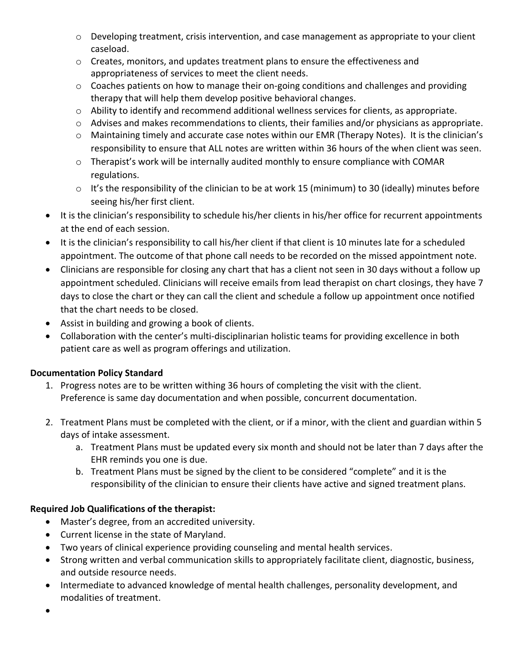- o Developing treatment, crisis intervention, and case management as appropriate to your client caseload.
- $\circ$  Creates, monitors, and updates treatment plans to ensure the effectiveness and appropriateness of services to meet the client needs.
- $\circ$  Coaches patients on how to manage their on-going conditions and challenges and providing therapy that will help them develop positive behavioral changes.
- o Ability to identify and recommend additional wellness services for clients, as appropriate.
- $\circ$  Advises and makes recommendations to clients, their families and/or physicians as appropriate.
- $\circ$  Maintaining timely and accurate case notes within our EMR (Therapy Notes). It is the clinician's responsibility to ensure that ALL notes are written within 36 hours of the when client was seen.
- o Therapist's work will be internally audited monthly to ensure compliance with COMAR regulations.
- $\circ$  It's the responsibility of the clinician to be at work 15 (minimum) to 30 (ideally) minutes before seeing his/her first client.
- It is the clinician's responsibility to schedule his/her clients in his/her office for recurrent appointments at the end of each session.
- It is the clinician's responsibility to call his/her client if that client is 10 minutes late for a scheduled appointment. The outcome of that phone call needs to be recorded on the missed appointment note.
- Clinicians are responsible for closing any chart that has a client not seen in 30 days without a follow up appointment scheduled. Clinicians will receive emails from lead therapist on chart closings, they have 7 days to close the chart or they can call the client and schedule a follow up appointment once notified that the chart needs to be closed.
- Assist in building and growing a book of clients.
- Collaboration with the center's multi-disciplinarian holistic teams for providing excellence in both patient care as well as program offerings and utilization.

## **Documentation Policy Standard**

- 1. Progress notes are to be written withing 36 hours of completing the visit with the client. Preference is same day documentation and when possible, concurrent documentation.
- 2. Treatment Plans must be completed with the client, or if a minor, with the client and guardian within 5 days of intake assessment.
	- a. Treatment Plans must be updated every six month and should not be later than 7 days after the EHR reminds you one is due.
	- b. Treatment Plans must be signed by the client to be considered "complete" and it is the responsibility of the clinician to ensure their clients have active and signed treatment plans.

## **Required Job Qualifications of the therapist:**

- Master's degree, from an accredited university.
- Current license in the state of Maryland.
- Two years of clinical experience providing counseling and mental health services.
- Strong written and verbal communication skills to appropriately facilitate client, diagnostic, business, and outside resource needs.
- Intermediate to advanced knowledge of mental health challenges, personality development, and modalities of treatment.

 $\bullet$